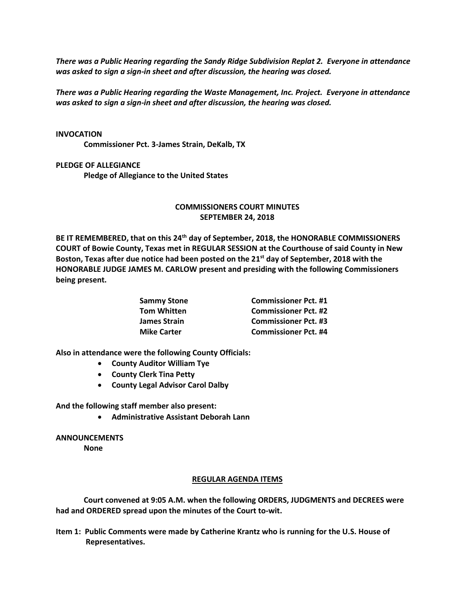*There was a Public Hearing regarding the Sandy Ridge Subdivision Replat 2. Everyone in attendance was asked to sign a sign-in sheet and after discussion, the hearing was closed.*

*There was a Public Hearing regarding the Waste Management, Inc. Project. Everyone in attendance was asked to sign a sign-in sheet and after discussion, the hearing was closed.*

## **INVOCATION**

**Commissioner Pct. 3-James Strain, DeKalb, TX**

## **PLEDGE OF ALLEGIANCE**

**Pledge of Allegiance to the United States**

## **COMMISSIONERS COURT MINUTES SEPTEMBER 24, 2018**

**BE IT REMEMBERED, that on this 24th day of September, 2018, the HONORABLE COMMISSIONERS COURT of Bowie County, Texas met in REGULAR SESSION at the Courthouse of said County in New Boston, Texas after due notice had been posted on the 21 st day of September, 2018 with the HONORABLE JUDGE JAMES M. CARLOW present and presiding with the following Commissioners being present.**

| <b>Commissioner Pct. #1</b> |
|-----------------------------|
| <b>Commissioner Pct. #2</b> |
| <b>Commissioner Pct. #3</b> |
| <b>Commissioner Pct. #4</b> |
|                             |

**Also in attendance were the following County Officials:**

- **County Auditor William Tye**
- **County Clerk Tina Petty**
- **County Legal Advisor Carol Dalby**

**And the following staff member also present:**

• **Administrative Assistant Deborah Lann**

**ANNOUNCEMENTS**

**None**

## **REGULAR AGENDA ITEMS**

**Court convened at 9:05 A.M. when the following ORDERS, JUDGMENTS and DECREES were had and ORDERED spread upon the minutes of the Court to-wit.**

**Item 1: Public Comments were made by Catherine Krantz who is running for the U.S. House of Representatives.**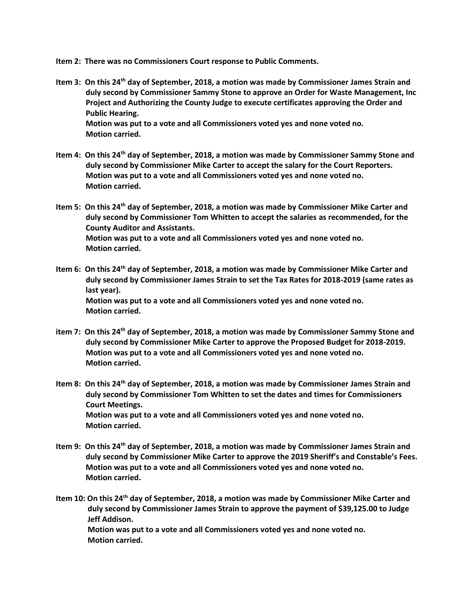- **Item 2: There was no Commissioners Court response to Public Comments.**
- **Item 3: On this 24th day of September, 2018, a motion was made by Commissioner James Strain and duly second by Commissioner Sammy Stone to approve an Order for Waste Management, Inc Project and Authorizing the County Judge to execute certificates approving the Order and Public Hearing. Motion was put to a vote and all Commissioners voted yes and none voted no. Motion carried.**
- **Item 4: On this 24th day of September, 2018, a motion was made by Commissioner Sammy Stone and duly second by Commissioner Mike Carter to accept the salary for the Court Reporters. Motion was put to a vote and all Commissioners voted yes and none voted no. Motion carried.**
- **Item 5: On this 24th day of September, 2018, a motion was made by Commissioner Mike Carter and duly second by Commissioner Tom Whitten to accept the salaries as recommended, for the County Auditor and Assistants. Motion was put to a vote and all Commissioners voted yes and none voted no. Motion carried.**
- **Item 6: On this 24th day of September, 2018, a motion was made by Commissioner Mike Carter and duly second by Commissioner James Strain to set the Tax Rates for 2018-2019 (same rates as last year). Motion was put to a vote and all Commissioners voted yes and none voted no. Motion carried.**
- **item 7: On this 24th day of September, 2018, a motion was made by Commissioner Sammy Stone and duly second by Commissioner Mike Carter to approve the Proposed Budget for 2018-2019. Motion was put to a vote and all Commissioners voted yes and none voted no. Motion carried.**
- **Item 8: On this 24th day of September, 2018, a motion was made by Commissioner James Strain and duly second by Commissioner Tom Whitten to set the dates and times for Commissioners Court Meetings. Motion was put to a vote and all Commissioners voted yes and none voted no. Motion carried.**
- **Item 9: On this 24th day of September, 2018, a motion was made by Commissioner James Strain and duly second by Commissioner Mike Carter to approve the 2019 Sheriff's and Constable's Fees. Motion was put to a vote and all Commissioners voted yes and none voted no. Motion carried.**
- **Item 10: On this 24th day of September, 2018, a motion was made by Commissioner Mike Carter and duly second by Commissioner James Strain to approve the payment of \$39,125.00 to Judge Jeff Addison.**

 **Motion was put to a vote and all Commissioners voted yes and none voted no. Motion carried.**